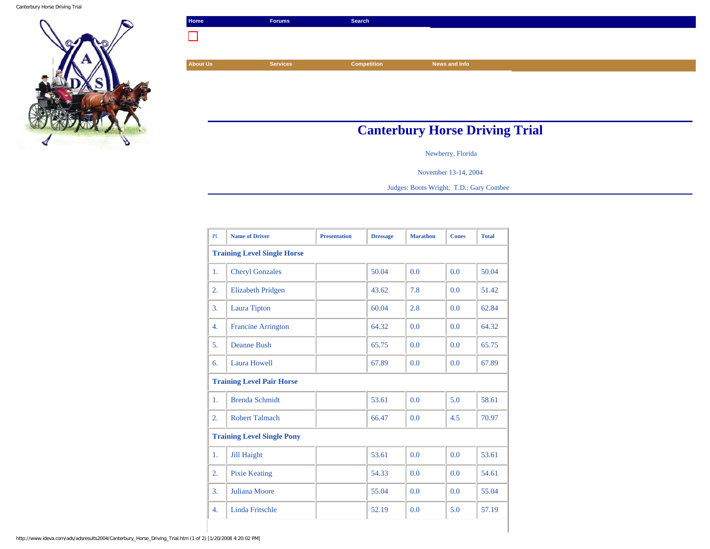Canterbury Horse Driving Trial



| Home                                  | <b>Forums</b>   | Search             |               |  |  |  |
|---------------------------------------|-----------------|--------------------|---------------|--|--|--|
|                                       |                 |                    |               |  |  |  |
|                                       |                 |                    |               |  |  |  |
| <b>About Us</b>                       | <b>Services</b> | <b>Competition</b> | News and Info |  |  |  |
|                                       |                 |                    |               |  |  |  |
|                                       |                 |                    |               |  |  |  |
|                                       |                 |                    |               |  |  |  |
|                                       |                 |                    |               |  |  |  |
| <b>Canterbury Horse Driving Trial</b> |                 |                    |               |  |  |  |

Newberry, Florida

November 13-14, 2004

Judges: Boots Wright; T.D.: Gary Combee

| P1                                 | <b>Name of Driver</b>     | <b>Presentation</b> | <b>Dressage</b> | <b>Marathon</b> | <b>Cones</b> | <b>Total</b> |  |  |  |
|------------------------------------|---------------------------|---------------------|-----------------|-----------------|--------------|--------------|--|--|--|
| <b>Training Level Single Horse</b> |                           |                     |                 |                 |              |              |  |  |  |
| 1.                                 | <b>Cheryl Gonzales</b>    |                     | 50.04           | 0.0             | 0.0          | 50.04        |  |  |  |
| 2.                                 | <b>Elizabeth Pridgen</b>  |                     | 43.62           | 7.8             | 0.0          | 51.42        |  |  |  |
| $\overline{3}$ .                   | <b>Laura Tipton</b>       |                     | 60.04           | 2.8             | 0.0          | 62.84        |  |  |  |
| 4.                                 | <b>Francine Arrington</b> |                     | 64.32           | 0.0             | 0.0          | 64.32        |  |  |  |
| 5.                                 | <b>Deanne Bush</b>        |                     | 65.75           | 0.0             | 0.0          | 65.75        |  |  |  |
| 6.                                 | Laura Howell              |                     | 67.89           | 0.0             | 0.0          | 67.89        |  |  |  |
| <b>Training Level Pair Horse</b>   |                           |                     |                 |                 |              |              |  |  |  |
| 1.                                 | <b>Brenda Schmidt</b>     |                     | 53.61           | 0.0             | 5.0          | 58.61        |  |  |  |
| 2.                                 | <b>Robert Talmach</b>     |                     | 66.47           | 0.0             | 4.5          | 70.97        |  |  |  |
| <b>Training Level Single Pony</b>  |                           |                     |                 |                 |              |              |  |  |  |
| 1.                                 | <b>Jill Haight</b>        |                     | 53.61           | 0.0             | 0.0          | 53.61        |  |  |  |
| 2.                                 | <b>Pixie Keating</b>      |                     | 54.33           | 0.0             | 0.0          | 54.61        |  |  |  |
| 3.                                 | Juliana Moore             |                     | 55.04           | 0.0             | 0.0          | 55.04        |  |  |  |
| 4.                                 | <b>Linda Fritschle</b>    |                     | 52.19           | 0.0             | 5.0          | 57.19        |  |  |  |